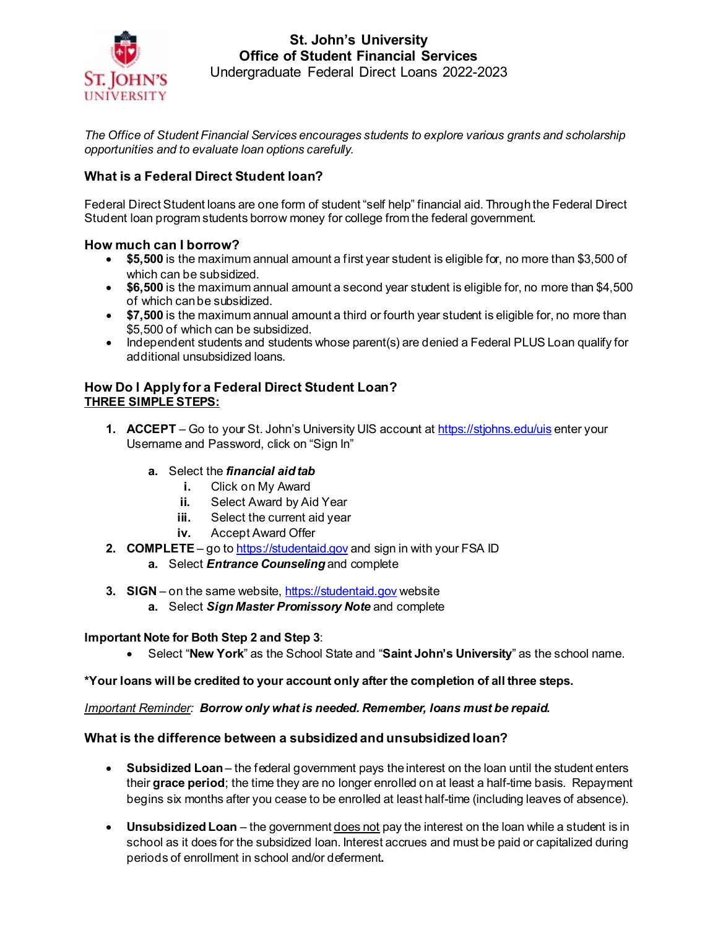

**St. John's University Office of Student Financial Services** Undergraduate Federal Direct Loans 2022-2023

*The Office of Student Financial Services encourages students to explore various grants and scholarship opportunities and to evaluate loan options carefully.* 

# **What is a Federal Direct Student loan?**

Federal Direct Student loans are one form of student "self help" financial aid. Through the Federal Direct Student loan program students borrow money for college from the federal government.

### **How much can I borrow?**

- **\$5,500** is the maximum annual amount a first year student is eligible for, no more than \$3,500 of which can be subsidized.
- **\$6,500** is the maximum annual amount a second year student is eligible for, no more than \$4,500 of which can be subsidized.
- **\$7,500** is the maximum annual amount a third or fourth year student is eligible for, no more than \$5,500 of which can be subsidized.
- Independent students and students whose parent(s) are denied a Federal PLUS Loan qualify for additional unsubsidized loans.

### **How Do I Apply for a Federal Direct Student Loan? THREE SIMPLE STEPS:**

- **1. ACCEPT**  Go to your St. John's University UIS account a[t https://stjohns.edu/uis](https://stjohns.edu/uis) enter your Username and Password, click on "Sign In"
	- **a.** Select the *financial aid tab*
		- **i.** Click on My Award
		- **ii.** Select Award by Aid Year
		- **iii.** Select the current aid year
		- **iv.** Accept Award Offer
- **2. COMPLETE**  go t[o https://studentaid.gov](https://studentaid.gov/) and sign in with your FSA ID
	- **a.** Select *Entrance Counseling* and complete
- **3. SIGN**  on the same website[, https://studentaid.gov](https://studentaid.gov/) website
	- **a.** Select *Sign Master Promissory Note* and complete

### **Important Note for Both Step 2 and Step 3**:

• Select "**New York**" as the School State and "**Saint John's University**" as the school name.

**\*Your loans will be credited to your account only after the completion of all three steps.**

#### *Important Reminder: Borrow only what is needed. Remember, loans must be repaid.*

### **What is the difference between a subsidized and unsubsidized loan?**

- **Subsidized Loan** the federal government pays the interest on the loan until the student enters their **grace period**; the time they are no longer enrolled on at least a half-time basis. Repayment begins six months after you cease to be enrolled at least half-time (including leaves of absence).
- Unsubsidized Loan the government **does not** pay the interest on the loan while a student is in school as it does for the subsidized loan. Interest accrues and must be paid or capitalized during periods of enrollment in school and/or deferment**.**